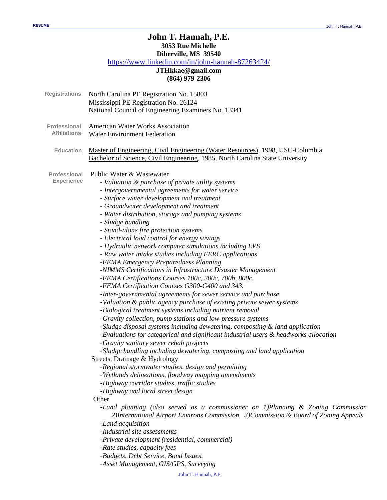# **John T. Hannah, P.E. 3053 Rue Michelle**

**Diberville, MS 39540**

<https://www.linkedin.com/in/john-hannah-87263424/>

# **JTHkkae@gmail.com (864) 979-2306**

| <b>Registrations</b>                     | North Carolina PE Registration No. 15803<br>Mississippi PE Registration No. 26124<br>National Council of Engineering Examiners No. 13341                                                                                                                                                                                                                                                                                                                                                                                                                                                                                                                                                                                                                                                                                                                                                                                                                                                                                                                                                                                                                                                                                                                                                                                                                                                                                                                                                                                              |
|------------------------------------------|---------------------------------------------------------------------------------------------------------------------------------------------------------------------------------------------------------------------------------------------------------------------------------------------------------------------------------------------------------------------------------------------------------------------------------------------------------------------------------------------------------------------------------------------------------------------------------------------------------------------------------------------------------------------------------------------------------------------------------------------------------------------------------------------------------------------------------------------------------------------------------------------------------------------------------------------------------------------------------------------------------------------------------------------------------------------------------------------------------------------------------------------------------------------------------------------------------------------------------------------------------------------------------------------------------------------------------------------------------------------------------------------------------------------------------------------------------------------------------------------------------------------------------------|
| Professional<br><b>Affiliations</b>      | <b>American Water Works Association</b><br><b>Water Environment Federation</b>                                                                                                                                                                                                                                                                                                                                                                                                                                                                                                                                                                                                                                                                                                                                                                                                                                                                                                                                                                                                                                                                                                                                                                                                                                                                                                                                                                                                                                                        |
| <b>Education</b>                         | Master of Engineering, Civil Engineering (Water Resources), 1998, USC-Columbia<br>Bachelor of Science, Civil Engineering, 1985, North Carolina State University                                                                                                                                                                                                                                                                                                                                                                                                                                                                                                                                                                                                                                                                                                                                                                                                                                                                                                                                                                                                                                                                                                                                                                                                                                                                                                                                                                       |
| <b>Professional</b><br><b>Experience</b> | Public Water & Wastewater<br>- Valuation & purchase of private utility systems<br>- Intergovernmental agreements for water service<br>- Surface water development and treatment<br>- Groundwater development and treatment<br>- Water distribution, storage and pumping systems<br>- Sludge handling<br>- Stand-alone fire protection systems<br>- Electrical load control for energy savings<br>- Hydraulic network computer simulations including EPS<br>- Raw water intake studies including FERC applications<br>-FEMA Emergency Preparedness Planning<br>-NIMMS Certifications in Infrastructure Disaster Management<br>-FEMA Certifications Courses 100c, 200c, 700b, 800c.<br>-FEMA Certification Courses G300-G400 and 343.<br>-Inter-governmental agreements for sewer service and purchase<br>-Valuation & public agency purchase of existing private sewer systems<br>-Biological treatment systems including nutrient removal<br>-Gravity collection, pump stations and low-pressure systems<br>-Sludge disposal systems including dewatering, composting & land application<br>-Evaluations for categorical and significant industrial users & headworks allocation<br>-Gravity sanitary sewer rehab projects<br>-Sludge handling including dewatering, composting and land application<br>Streets, Drainage & Hydrology<br>-Regional stormwater studies, design and permitting<br>-Wetlands delineations, floodway mapping amendments<br>-Highway corridor studies, traffic studies<br>-Highway and local street design |
|                                          | Other<br>-Land planning (also served as a commissioner on 1)Planning & Zoning Commission,                                                                                                                                                                                                                                                                                                                                                                                                                                                                                                                                                                                                                                                                                                                                                                                                                                                                                                                                                                                                                                                                                                                                                                                                                                                                                                                                                                                                                                             |
|                                          | 2) International Airport Environs Commission 3) Commission & Board of Zoning Appeals<br>-Land acquisition<br>-Industrial site assessments<br>-Private development (residential, commercial)                                                                                                                                                                                                                                                                                                                                                                                                                                                                                                                                                                                                                                                                                                                                                                                                                                                                                                                                                                                                                                                                                                                                                                                                                                                                                                                                           |
|                                          | -Rate studies, capacity fees<br>-Budgets, Debt Service, Bond Issues,<br>-Asset Management, GIS/GPS, Surveying                                                                                                                                                                                                                                                                                                                                                                                                                                                                                                                                                                                                                                                                                                                                                                                                                                                                                                                                                                                                                                                                                                                                                                                                                                                                                                                                                                                                                         |
|                                          |                                                                                                                                                                                                                                                                                                                                                                                                                                                                                                                                                                                                                                                                                                                                                                                                                                                                                                                                                                                                                                                                                                                                                                                                                                                                                                                                                                                                                                                                                                                                       |